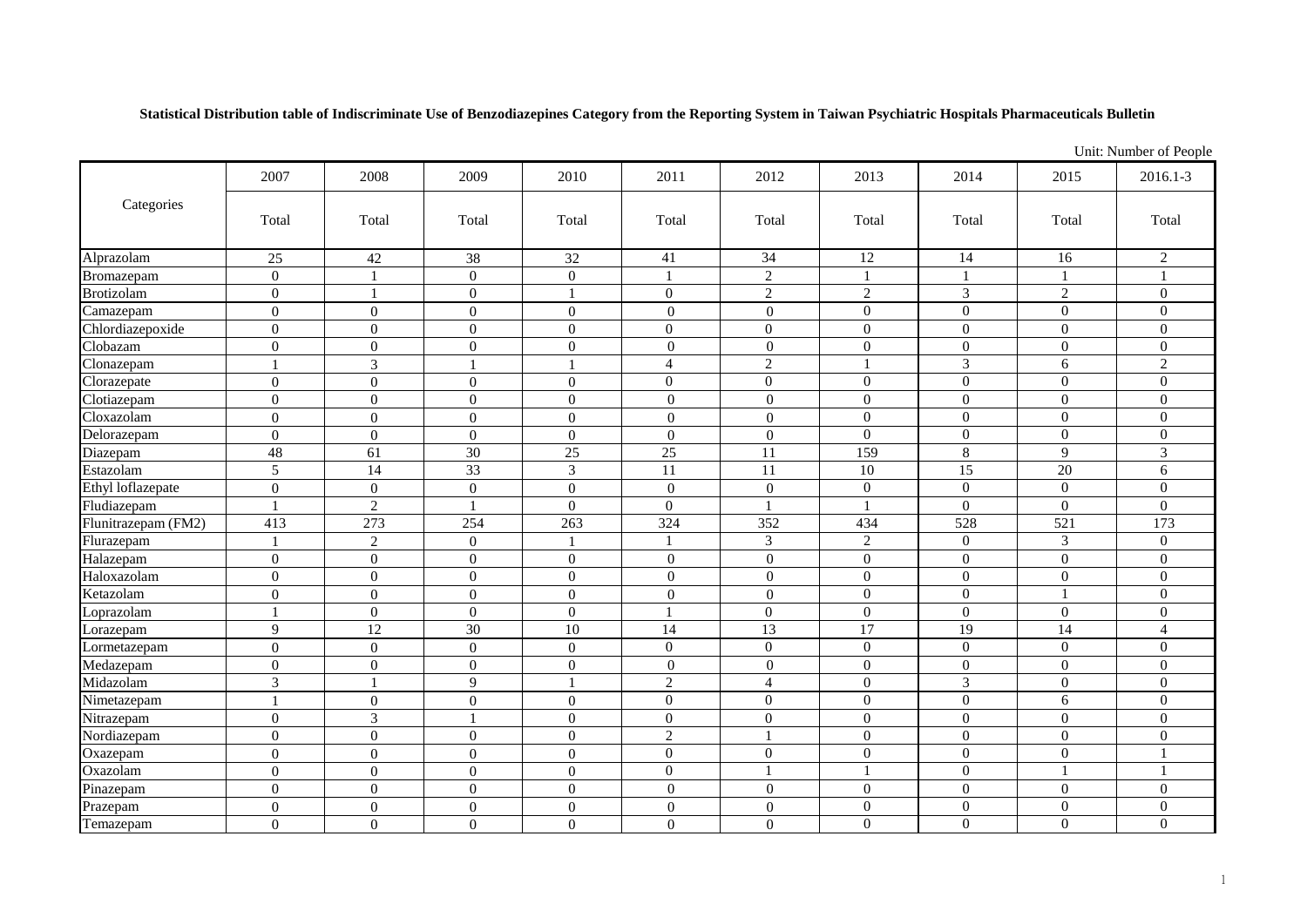**Statistical Distribution table of Indiscriminate Use of Benzodiazepines Category from the Reporting System in Taiwan Psychiatric Hospitals Pharmaceuticals Bulletin**

|                     |                  | Unit: Number of People |                  |                  |                  |                  |                |                  |                |                  |
|---------------------|------------------|------------------------|------------------|------------------|------------------|------------------|----------------|------------------|----------------|------------------|
| Categories          | 2007             | 2008                   | 2009             | 2010             | 2011             | 2012             | 2013           | 2014             | 2015           | 2016.1-3         |
|                     | Total            | Total                  | Total            | Total            | Total            | Total            | Total          | Total            | Total          | Total            |
| Alprazolam          | 25               | $42\,$                 | 38               | $32\,$           | 41               | 34               | 12             | 14               | 16             | $\overline{2}$   |
| Bromazepam          | $\overline{0}$   | $\mathbf{1}$           | $\overline{0}$   | $\boldsymbol{0}$ |                  | $\overline{2}$   |                | 1                |                |                  |
| <b>Brotizolam</b>   | $\overline{0}$   | $\mathbf{1}$           | $\boldsymbol{0}$ | $\mathbf{1}$     | $\overline{0}$   | $\sqrt{2}$       | $\sqrt{2}$     | $\mathfrak{Z}$   | 2              | $\overline{0}$   |
| Camazepam           | $\overline{0}$   | $\boldsymbol{0}$       | $\boldsymbol{0}$ | $\boldsymbol{0}$ | $\overline{0}$   | $\mathbf{0}$     | $\overline{0}$ | $\overline{0}$   | $\overline{0}$ | $\overline{0}$   |
| Chlordiazepoxide    | $\boldsymbol{0}$ | $\boldsymbol{0}$       | $\boldsymbol{0}$ | $\boldsymbol{0}$ | $\overline{0}$   | $\boldsymbol{0}$ | $\overline{0}$ | $\boldsymbol{0}$ | $\overline{0}$ | $\boldsymbol{0}$ |
| Clobazam            | $\overline{0}$   | $\boldsymbol{0}$       | $\overline{0}$   | $\boldsymbol{0}$ | $\overline{0}$   | $\boldsymbol{0}$ | $\overline{0}$ | $\mathbf{0}$     | $\Omega$       | $\Omega$         |
| Clonazepam          |                  | 3                      |                  | $\mathbf{1}$     | $\overline{4}$   | $\overline{2}$   |                | $\overline{3}$   | $\overline{6}$ | $\overline{2}$   |
| Clorazepate         | $\overline{0}$   | $\overline{0}$         | $\mathbf{0}$     | $\boldsymbol{0}$ | $\overline{0}$   | $\mathbf{0}$     | $\overline{0}$ | $\overline{0}$   | $\overline{0}$ | $\mathbf{0}$     |
| Clotiazepam         | $\overline{0}$   | $\overline{0}$         | $\overline{0}$   | $\boldsymbol{0}$ | $\overline{0}$   | $\overline{0}$   | $\Omega$       | $\overline{0}$   | $\overline{0}$ | $\overline{0}$   |
| Cloxazolam          | $\overline{0}$   | $\theta$               | $\boldsymbol{0}$ | $\boldsymbol{0}$ | $\overline{0}$   | $\overline{0}$   | $\overline{0}$ | $\boldsymbol{0}$ | $\overline{0}$ | $\overline{0}$   |
| Delorazepam         | $\overline{0}$   | $\theta$               | $\overline{0}$   | $\overline{0}$   | $\overline{0}$   | $\overline{0}$   | $\Omega$       | $\overline{0}$   | $\Omega$       | $\theta$         |
| Diazepam            | 48               | 61                     | 30               | 25               | $\overline{25}$  | 11               | 159            | 8                | $\mathbf Q$    | 3                |
| Estazolam           | 5                | 14                     | 33               | $\mathfrak{Z}$   | 11               | 11               | 10             | 15               | 20             | 6                |
| Ethyl loflazepate   | $\boldsymbol{0}$ | $\boldsymbol{0}$       | $\boldsymbol{0}$ | $\boldsymbol{0}$ | $\boldsymbol{0}$ | $\boldsymbol{0}$ | $\overline{0}$ | $\boldsymbol{0}$ | $\overline{0}$ | $\mathbf{0}$     |
| Fludiazepam         | 1                | $\overline{2}$         | 1                | $\mathbf{0}$     | $\overline{0}$   |                  |                | $\boldsymbol{0}$ | $\overline{0}$ | $\overline{0}$   |
| Flunitrazepam (FM2) | 413              | 273                    | 254              | 263              | 324              | 352              | 434            | 528              | 521            | 173              |
| Flurazepam          |                  | 2                      | $\overline{0}$   | $\overline{1}$   |                  | 3                | 2              | $\overline{0}$   | 3              | $\overline{0}$   |
| Halazepam           | $\overline{0}$   | $\overline{0}$         | $\overline{0}$   | $\mathbf{0}$     | $\overline{0}$   | $\overline{0}$   | $\Omega$       | $\mathbf{0}$     | $\Omega$       | $\Omega$         |
| Haloxazolam         | $\overline{0}$   | $\overline{0}$         | $\overline{0}$   | $\overline{0}$   | $\overline{0}$   | $\overline{0}$   | $\overline{0}$ | $\overline{0}$   | $\overline{0}$ | $\overline{0}$   |
| Ketazolam           | $\boldsymbol{0}$ | $\boldsymbol{0}$       | $\overline{0}$   | $\boldsymbol{0}$ | $\overline{0}$   | $\boldsymbol{0}$ | $\mathbf{0}$   | $\boldsymbol{0}$ |                | $\boldsymbol{0}$ |
| Loprazolam          | 1                | $\boldsymbol{0}$       | $\overline{0}$   | $\mathbf{0}$     |                  | $\overline{0}$   | $\Omega$       | $\overline{0}$   | $\overline{0}$ | $\overline{0}$   |
| Lorazepam           | 9                | 12                     | 30               | $10\,$           | 14               | 13               | 17             | 19               | 14             | $\overline{4}$   |
| Lormetazepam        | $\overline{0}$   | $\overline{0}$         | $\boldsymbol{0}$ | $\boldsymbol{0}$ | $\overline{0}$   | $\mathbf{0}$     | $\overline{0}$ | $\boldsymbol{0}$ | $\Omega$       | $\Omega$         |
| Medazepam           | $\boldsymbol{0}$ | $\boldsymbol{0}$       | $\overline{0}$   | $\boldsymbol{0}$ | $\mathbf{0}$     | $\mathbf{0}$     | $\mathbf{0}$   | $\boldsymbol{0}$ | $\overline{0}$ | $\overline{0}$   |
| Midazolam           | 3                |                        | 9                | -1               | $\overline{2}$   | $\overline{4}$   | $\overline{0}$ | 3                | $\overline{0}$ | $\overline{0}$   |
| Nimetazepam         |                  | $\overline{0}$         | $\overline{0}$   | $\boldsymbol{0}$ | $\overline{0}$   | $\overline{0}$   | $\overline{0}$ | $\overline{0}$   | 6              | $\overline{0}$   |
| Nitrazepam          | $\overline{0}$   | $\mathfrak{Z}$         |                  | $\boldsymbol{0}$ | $\overline{0}$   | $\mathbf{0}$     | $\overline{0}$ | $\boldsymbol{0}$ | $\overline{0}$ | $\boldsymbol{0}$ |
| Nordiazepam         | $\overline{0}$   | $\overline{0}$         | $\overline{0}$   | $\overline{0}$   | $\overline{2}$   |                  | $\overline{0}$ | $\boldsymbol{0}$ | $\Omega$       | $\overline{0}$   |
| Oxazepam            | $\overline{0}$   | $\mathbf{0}$           | $\overline{0}$   | $\mathbf{0}$     | $\overline{0}$   | $\mathbf{0}$     | $\overline{0}$ | $\boldsymbol{0}$ | $\overline{0}$ | $\mathbf{1}$     |
| Oxazolam            | $\overline{0}$   | $\boldsymbol{0}$       | $\overline{0}$   | $\mathbf{0}$     | $\overline{0}$   | $\overline{1}$   |                | $\mathbf{0}$     |                | $\mathbf{1}$     |
| Pinazepam           | $\overline{0}$   | $\overline{0}$         | $\boldsymbol{0}$ | $\boldsymbol{0}$ | $\overline{0}$   | $\boldsymbol{0}$ | $\mathbf{0}$   | $\boldsymbol{0}$ | $\overline{0}$ | $\boldsymbol{0}$ |
| Prazepam            | $\overline{0}$   | $\boldsymbol{0}$       | $\boldsymbol{0}$ | $\boldsymbol{0}$ | $\overline{0}$   | $\boldsymbol{0}$ | $\overline{0}$ | $\boldsymbol{0}$ | $\Omega$       | $\overline{0}$   |
| Temazepam           | $\overline{0}$   | $\boldsymbol{0}$       | 0                | $\boldsymbol{0}$ | $\boldsymbol{0}$ | $\boldsymbol{0}$ | $\overline{0}$ | $\boldsymbol{0}$ | $\theta$       | $\overline{0}$   |

1